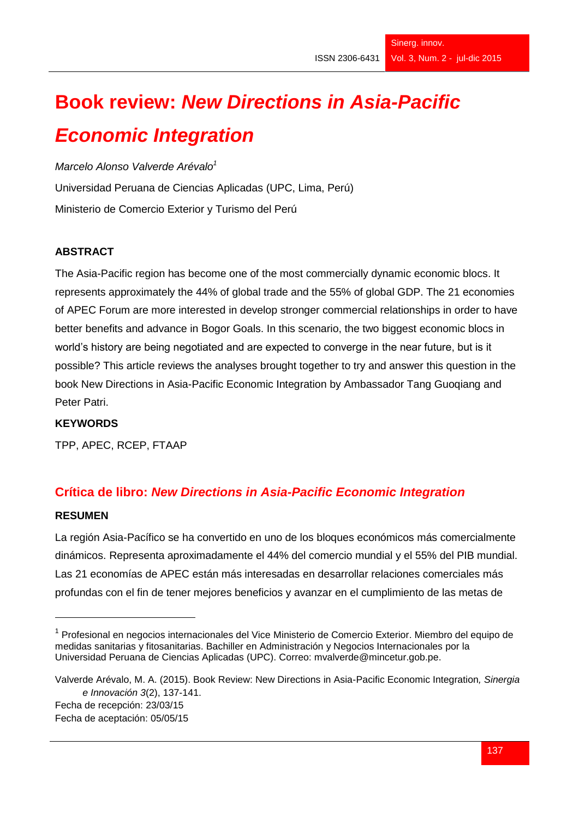# **Book review:** *New Directions in Asia-Pacific Economic Integration*

*Marcelo Alonso Valverde Arévalo<sup>1</sup>* Universidad Peruana de Ciencias Aplicadas (UPC, Lima, Perú) Ministerio de Comercio Exterior y Turismo del Perú

# **ABSTRACT**

The Asia-Pacific region has become one of the most commercially dynamic economic blocs. It represents approximately the 44% of global trade and the 55% of global GDP. The 21 economies of APEC Forum are more interested in develop stronger commercial relationships in order to have better benefits and advance in Bogor Goals. In this scenario, the two biggest economic blocs in world's history are being negotiated and are expected to converge in the near future, but is it possible? This article reviews the analyses brought together to try and answer this question in the book New Directions in Asia-Pacific Economic Integration by Ambassador Tang Guoqiang and Peter Patri.

# **KEYWORDS**

TPP, APEC, RCEP, FTAAP

# **Crítica de libro:** *New Directions in Asia-Pacific Economic Integration*

#### **RESUMEN**

-

La región Asia-Pacífico se ha convertido en uno de los bloques económicos más comercialmente dinámicos. Representa aproximadamente el 44% del comercio mundial y el 55% del PIB mundial. Las 21 economías de APEC están más interesadas en desarrollar relaciones comerciales más profundas con el fin de tener mejores beneficios y avanzar en el cumplimiento de las metas de

<sup>&</sup>lt;sup>1</sup> Profesional en negocios internacionales del Vice Ministerio de Comercio Exterior. Miembro del equipo de medidas sanitarias y fitosanitarias. Bachiller en Administración y Negocios Internacionales por la Universidad Peruana de Ciencias Aplicadas (UPC). Correo: mvalverde@mincetur.gob.pe.

Valverde Arévalo, M. A. (2015). Book Review: New Directions in Asia-Pacific Economic Integration*, Sinergia e Innovación 3*(2), 137-141. Fecha de recepción: 23/03/15

Fecha de aceptación: 05/05/15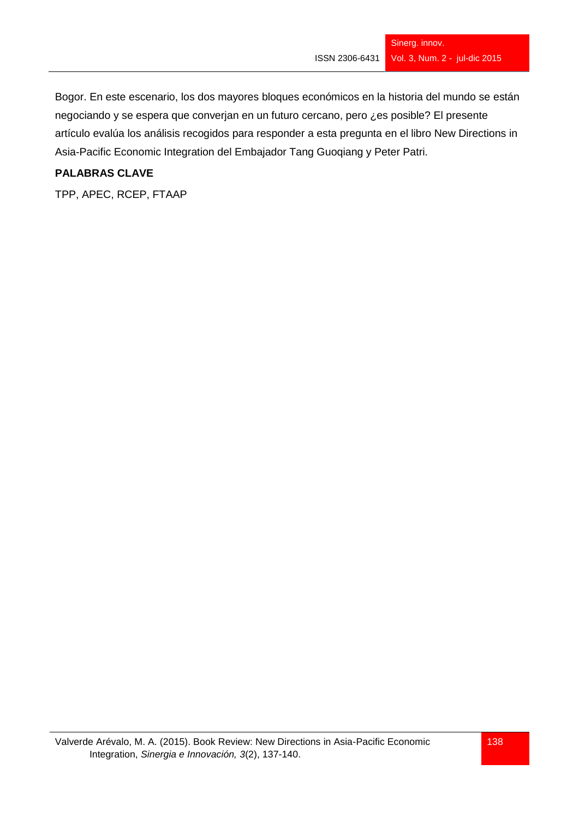Bogor. En este escenario, los dos mayores bloques económicos en la historia del mundo se están negociando y se espera que converjan en un futuro cercano, pero ¿es posible? El presente artículo evalúa los análisis recogidos para responder a esta pregunta en el libro New Directions in Asia-Pacific Economic Integration del Embajador Tang Guoqiang y Peter Patri.

### **PALABRAS CLAVE**

TPP, APEC, RCEP, FTAAP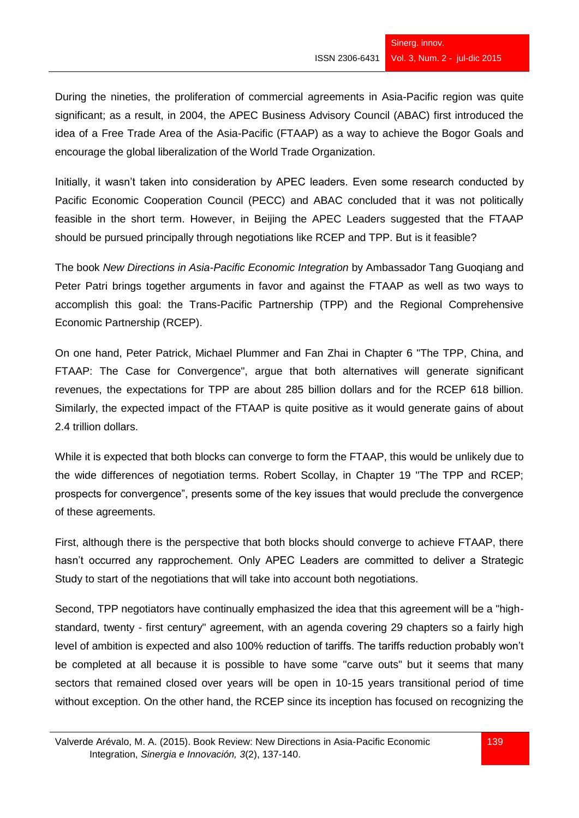During the nineties, the proliferation of commercial agreements in Asia-Pacific region was quite significant; as a result, in 2004, the APEC Business Advisory Council (ABAC) first introduced the idea of a Free Trade Area of the Asia-Pacific (FTAAP) as a way to achieve the Bogor Goals and encourage the global liberalization of the World Trade Organization.

Initially, it wasn't taken into consideration by APEC leaders. Even some research conducted by Pacific Economic Cooperation Council (PECC) and ABAC concluded that it was not politically feasible in the short term. However, in Beijing the APEC Leaders suggested that the FTAAP should be pursued principally through negotiations like RCEP and TPP. But is it feasible?

The book *New Directions in Asia-Pacific Economic Integration* by Ambassador Tang Guoqiang and Peter Patri brings together arguments in favor and against the FTAAP as well as two ways to accomplish this goal: the Trans-Pacific Partnership (TPP) and the Regional Comprehensive Economic Partnership (RCEP).

On one hand, Peter Patrick, Michael Plummer and Fan Zhai in Chapter 6 "The TPP, China, and FTAAP: The Case for Convergence", argue that both alternatives will generate significant revenues, the expectations for TPP are about 285 billion dollars and for the RCEP 618 billion. Similarly, the expected impact of the FTAAP is quite positive as it would generate gains of about 2.4 trillion dollars.

While it is expected that both blocks can converge to form the FTAAP, this would be unlikely due to the wide differences of negotiation terms. Robert Scollay, in Chapter 19 "The TPP and RCEP; prospects for convergence", presents some of the key issues that would preclude the convergence of these agreements.

First, although there is the perspective that both blocks should converge to achieve FTAAP, there hasn't occurred any rapprochement. Only APEC Leaders are committed to deliver a Strategic Study to start of the negotiations that will take into account both negotiations.

Second, TPP negotiators have continually emphasized the idea that this agreement will be a "highstandard, twenty - first century" agreement, with an agenda covering 29 chapters so a fairly high level of ambition is expected and also 100% reduction of tariffs. The tariffs reduction probably won't be completed at all because it is possible to have some "carve outs" but it seems that many sectors that remained closed over years will be open in 10-15 years transitional period of time without exception. On the other hand, the RCEP since its inception has focused on recognizing the